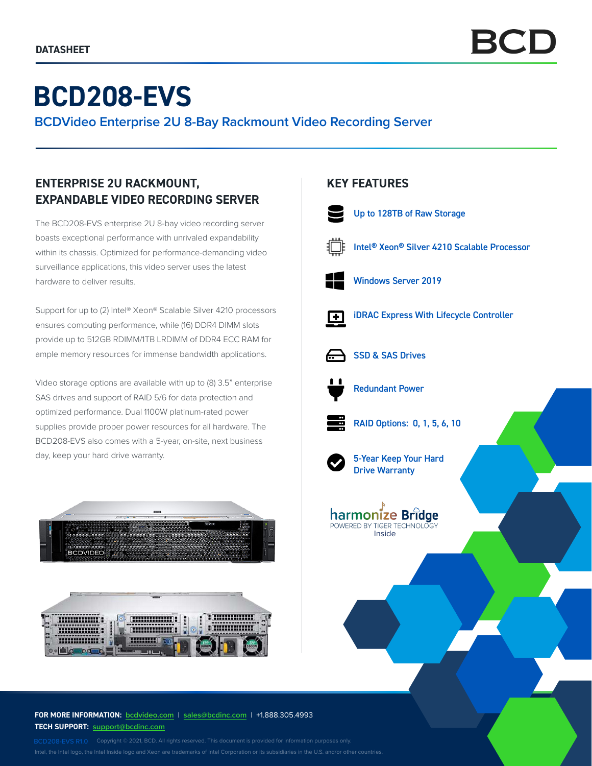# **BCD208-EVS**

**BCDVideo Enterprise 2U 8-Bay Rackmount Video Recording Server**

# **ENTERPRISE 2U RACKMOUNT, EXPANDABLE VIDEO RECORDING SERVER**

The BCD208-EVS enterprise 2U 8-bay video recording server boasts exceptional performance with unrivaled expandability within its chassis. Optimized for performance-demanding video surveillance applications, this video server uses the latest hardware to deliver results.

Support for up to (2) Intel® Xeon® Scalable Silver 4210 processors ensures computing performance, while (16) DDR4 DIMM slots provide up to 512GB RDIMM/1TB LRDIMM of DDR4 ECC RAM for ample memory resources for immense bandwidth applications.

Video storage options are available with up to (8) 3.5" enterprise SAS drives and support of RAID 5/6 for data protection and optimized performance. Dual 1100W platinum-rated power supplies provide proper power resources for all hardware. The BCD208-EVS also comes with a 5-year, on-site, next business day, keep your hard drive warranty.



### **FOR MORE INFORMATION: bcdvideo.com** | **[sales@bcdinc.com](mailto:sales%40bcdinc.com?subject=)** | +1.888.305.4993 **TECH SUPPORT: [support@bcdinc.com](mailto:support%40bcdinc.com?subject=)**

Intel, the Intel logo, the Intel Inside logo and Xeon are trademarks of Intel Corporation or its subsidiaries in the U.S. and/or other countries.

## **KEY FEATURES**



Up to 128TB of Raw Storage



Intel® Xeon® Silver 4210 Scalable Processor



Windows Server 2019



iDRAC Express With Lifecycle Controller



SSD & SAS Drives



Redundant Power



RAID Options: 0, 1, 5, 6, 10



5-Year Keep Your Hard Drive Warranty